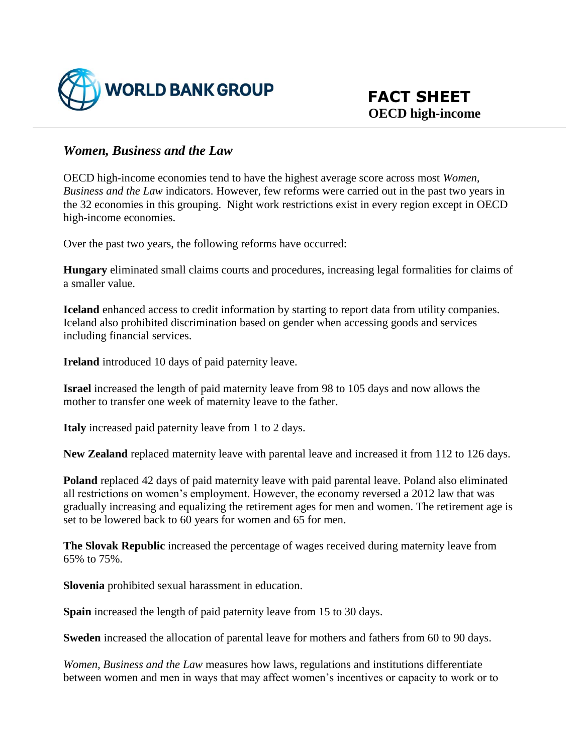

## *Women, Business and the Law*

OECD high-income economies tend to have the highest average score across most *Women, Business and the Law* indicators. However, few reforms were carried out in the past two years in the 32 economies in this grouping. Night work restrictions exist in every region except in OECD high-income economies.

Over the past two years, the following reforms have occurred:

**Hungary** eliminated small claims courts and procedures, increasing legal formalities for claims of a smaller value.

**Iceland** enhanced access to credit information by starting to report data from utility companies. Iceland also prohibited discrimination based on gender when accessing goods and services including financial services.

**Ireland** introduced 10 days of paid paternity leave.

**Israel** increased the length of paid maternity leave from 98 to 105 days and now allows the mother to transfer one week of maternity leave to the father.

**Italy** increased paid paternity leave from 1 to 2 days.

**New Zealand** replaced maternity leave with parental leave and increased it from 112 to 126 days.

**Poland** replaced 42 days of paid maternity leave with paid parental leave. Poland also eliminated all restrictions on women's employment. However, the economy reversed a 2012 law that was gradually increasing and equalizing the retirement ages for men and women. The retirement age is set to be lowered back to 60 years for women and 65 for men.

**The Slovak Republic** increased the percentage of wages received during maternity leave from 65% to 75%.

**Slovenia** prohibited sexual harassment in education.

**Spain** increased the length of paid paternity leave from 15 to 30 days.

**Sweden** increased the allocation of parental leave for mothers and fathers from 60 to 90 days.

*Women, Business and the Law* measures how laws, regulations and institutions differentiate between women and men in ways that may affect women's incentives or capacity to work or to